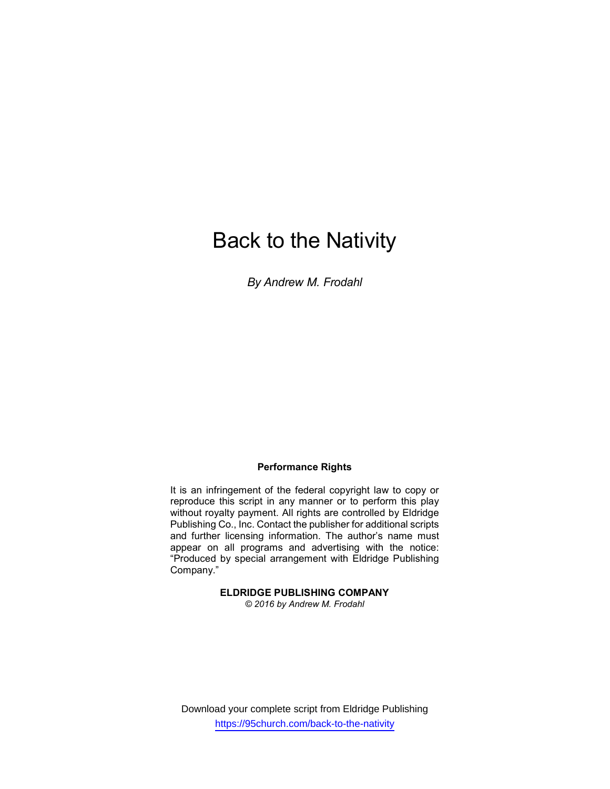# Back to the Nativity

By Andrew M. Frodahl

## Performance Rights

It is an infringement of the federal copyright law to copy or reproduce this script in any manner or to perform this play without royalty payment. All rights are controlled by Eldridge Publishing Co., Inc. Contact the publisher for additional scripts and further licensing information. The author's name must appear on all programs and advertising with the notice: "Produced by special arrangement with Eldridge Publishing Company."

## ELDRIDGE PUBLISHING COMPANY

© 2016 by Andrew M. Frodahl

Download your complete script from Eldridge Publishing https://95church.com/back-to-the-nativity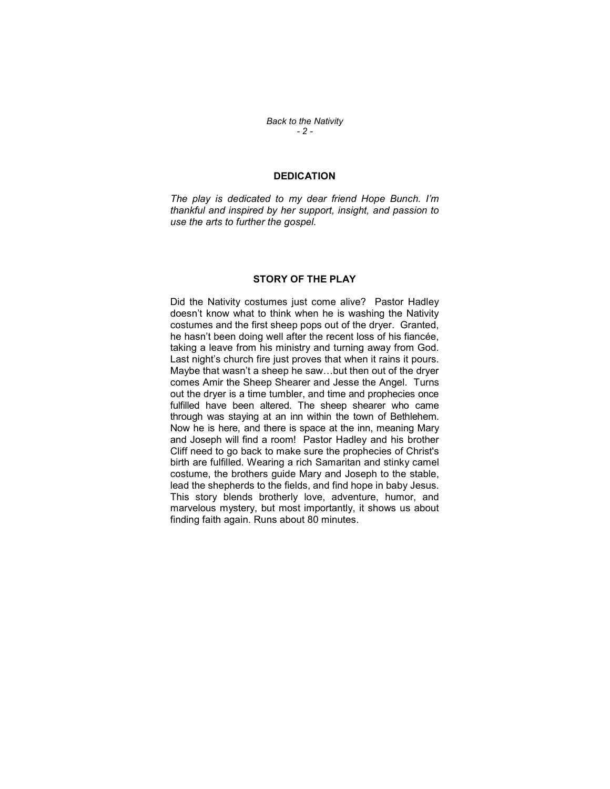Back to the Nativity - 2 -

## **DEDICATION**

The play is dedicated to my dear friend Hope Bunch. I'm thankful and inspired by her support, insight, and passion to use the arts to further the gospel.

## STORY OF THE PLAY

Did the Nativity costumes just come alive? Pastor Hadley doesn't know what to think when he is washing the Nativity costumes and the first sheep pops out of the dryer. Granted, he hasn't been doing well after the recent loss of his fiancée, taking a leave from his ministry and turning away from God. Last night's church fire just proves that when it rains it pours. Maybe that wasn't a sheep he saw…but then out of the dryer comes Amir the Sheep Shearer and Jesse the Angel. Turns out the dryer is a time tumbler, and time and prophecies once fulfilled have been altered. The sheep shearer who came through was staying at an inn within the town of Bethlehem. Now he is here, and there is space at the inn, meaning Mary and Joseph will find a room! Pastor Hadley and his brother Cliff need to go back to make sure the prophecies of Christ's birth are fulfilled. Wearing a rich Samaritan and stinky camel costume, the brothers guide Mary and Joseph to the stable, lead the shepherds to the fields, and find hope in baby Jesus. This story blends brotherly love, adventure, humor, and marvelous mystery, but most importantly, it shows us about finding faith again. Runs about 80 minutes.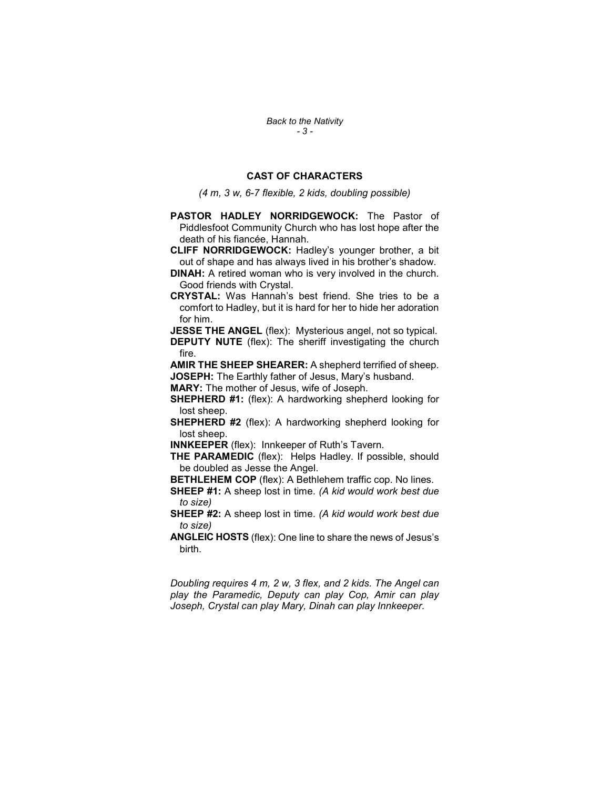Back to the Nativity - 3 -

## CAST OF CHARACTERS

(4 m, 3 w, 6-7 flexible, 2 kids, doubling possible)

- PASTOR HADLEY NORRIDGEWOCK: The Pastor of Piddlesfoot Community Church who has lost hope after the death of his fiancée, Hannah.
- CLIFF NORRIDGEWOCK: Hadley's younger brother, a bit out of shape and has always lived in his brother's shadow.
- DINAH: A retired woman who is very involved in the church. Good friends with Crystal.
- CRYSTAL: Was Hannah's best friend. She tries to be a comfort to Hadley, but it is hard for her to hide her adoration for him.

**JESSE THE ANGEL** (flex): Mysterious angel, not so typical. **DEPUTY NUTE** (flex): The sheriff investigating the church fire.

AMIR THE SHEEP SHEARER: A shepherd terrified of sheep. JOSEPH: The Earthly father of Jesus, Mary's husband.

MARY: The mother of Jesus, wife of Joseph.

SHEPHERD #1: (flex): A hardworking shepherd looking for lost sheep.

SHEPHERD #2 (flex): A hardworking shepherd looking for lost sheep.

INNKEEPER (flex): Innkeeper of Ruth's Tavern.

THE PARAMEDIC (flex): Helps Hadley. If possible, should be doubled as Jesse the Angel.

**BETHLEHEM COP** (flex): A Bethlehem traffic cop. No lines.

SHEEP #1: A sheep lost in time. (A kid would work best due to size)

SHEEP #2: A sheep lost in time. (A kid would work best due to size)

ANGLEIC HOSTS (flex): One line to share the news of Jesus's birth.

Doubling requires 4 m, 2 w, 3 flex, and 2 kids. The Angel can play the Paramedic, Deputy can play Cop, Amir can play Joseph, Crystal can play Mary, Dinah can play Innkeeper.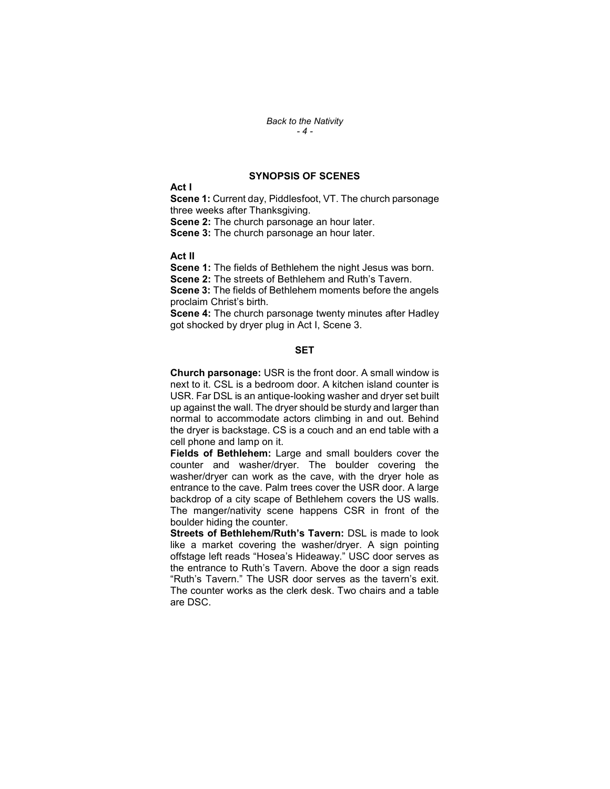#### Back to the Nativity - 4 -

### SYNOPSIS OF SCENES

Act I

Scene 1: Current day, Piddlesfoot, VT. The church parsonage three weeks after Thanksgiving.

Scene 2: The church parsonage an hour later.

Scene 3: The church parsonage an hour later.

Act II

Scene 1: The fields of Bethlehem the night Jesus was born. Scene 2: The streets of Bethlehem and Ruth's Tavern. Scene 3: The fields of Bethlehem moments before the angels

proclaim Christ's birth.

Scene 4: The church parsonage twenty minutes after Hadley got shocked by dryer plug in Act I, Scene 3.

## **SET**

Church parsonage: USR is the front door. A small window is next to it. CSL is a bedroom door. A kitchen island counter is USR. Far DSL is an antique-looking washer and dryer set built up against the wall. The dryer should be sturdy and larger than normal to accommodate actors climbing in and out. Behind the dryer is backstage. CS is a couch and an end table with a cell phone and lamp on it.

Fields of Bethlehem: Large and small boulders cover the counter and washer/dryer. The boulder covering the washer/dryer can work as the cave, with the dryer hole as entrance to the cave. Palm trees cover the USR door. A large backdrop of a city scape of Bethlehem covers the US walls. The manger/nativity scene happens CSR in front of the boulder hiding the counter.

Streets of Bethlehem/Ruth's Tavern: DSL is made to look like a market covering the washer/dryer. A sign pointing offstage left reads "Hosea's Hideaway." USC door serves as the entrance to Ruth's Tavern. Above the door a sign reads "Ruth's Tavern." The USR door serves as the tavern's exit. The counter works as the clerk desk. Two chairs and a table are DSC.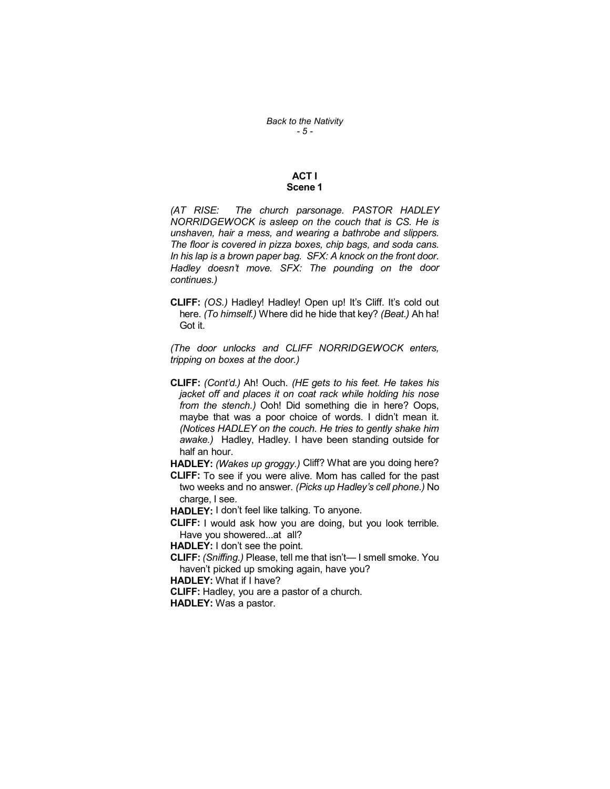## ACT I Scene 1

(AT RISE: The church parsonage. PASTOR HADLEY NORRIDGEWOCK is asleep on the couch that is CS. He is unshaven, hair a mess, and wearing a bathrobe and slippers. The floor is covered in pizza boxes, chip bags, and soda cans. In his lap is a brown paper bag. SFX: A knock on the front door. Hadley doesn't move. SFX: The pounding on the door continues.)

CLIFF: (OS.) Hadley! Hadley! Open up! It's Cliff. It's cold out here. (To himself.) Where did he hide that key? (Beat.) Ah ha! Got it.

(The door unlocks and CLIFF NORRIDGEWOCK enters, tripping on boxes at the door.)

CLIFF: (Cont'd.) Ah! Ouch. (HE gets to his feet. He takes his jacket off and places it on coat rack while holding his nose from the stench.) Ooh! Did something die in here? Oops, maybe that was a poor choice of words. I didn't mean it. (Notices HADLEY on the couch. He tries to gently shake him awake.) Hadley, Hadley. I have been standing outside for half an hour.

HADLEY: (Wakes up groggy.) Cliff? What are you doing here?

CLIFF: To see if you were alive. Mom has called for the past two weeks and no answer. (Picks up Hadley's cell phone.) No charge, I see.

HADLEY: I don't feel like talking. To anyone.

CLIFF: I would ask how you are doing, but you look terrible. Have you showered...at all?

HADLEY: I don't see the point.

CLIFF: (Sniffing.) Please, tell me that isn't— I smell smoke. You haven't picked up smoking again, have you?

HADLEY: What if I have?

CLIFF: Hadley, you are a pastor of a church.

HADLEY: Was a pastor.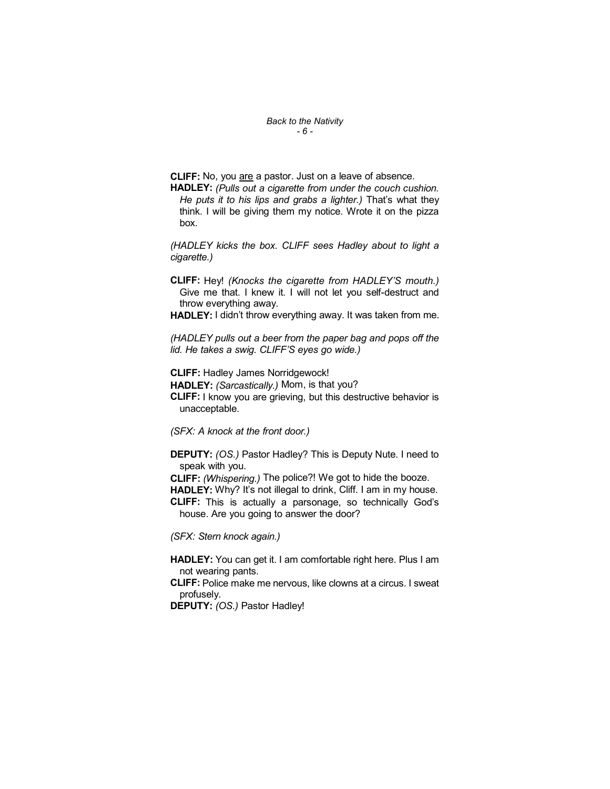Back to the Nativity - 6 -

CLIFF: No, you are a pastor. Just on a leave of absence.

HADLEY: (Pulls out a cigarette from under the couch cushion. He puts it to his lips and grabs a lighter.) That's what they think. I will be giving them my notice. Wrote it on the pizza box.

(HADLEY kicks the box. CLIFF sees Hadley about to light a cigarette.)

CLIFF: Hey! (Knocks the cigarette from HADLEY'S mouth.) Give me that. I knew it. I will not let you self-destruct and throw everything away.

HADLEY: I didn't throw everything away. It was taken from me.

(HADLEY pulls out a beer from the paper bag and pops off the lid. He takes a swig. CLIFF'S eyes go wide.)

CLIFF: Hadley James Norridgewock! HADLEY: (Sarcastically.) Mom, is that you? CLIFF: I know you are grieving, but this destructive behavior is unacceptable.

(SFX: A knock at the front door.)

DEPUTY: (OS.) Pastor Hadley? This is Deputy Nute. I need to speak with you.

CLIFF: (Whispering.) The police?! We got to hide the booze.

HADLEY: Why? It's not illegal to drink, Cliff. I am in my house. CLIFF: This is actually a parsonage, so technically God's house. Are you going to answer the door?

(SFX: Stern knock again.)

HADLEY: You can get it. I am comfortable right here. Plus I am not wearing pants.

CLIFF: Police make me nervous, like clowns at a circus. I sweat profusely.

DEPUTY: (OS.) Pastor Hadley!